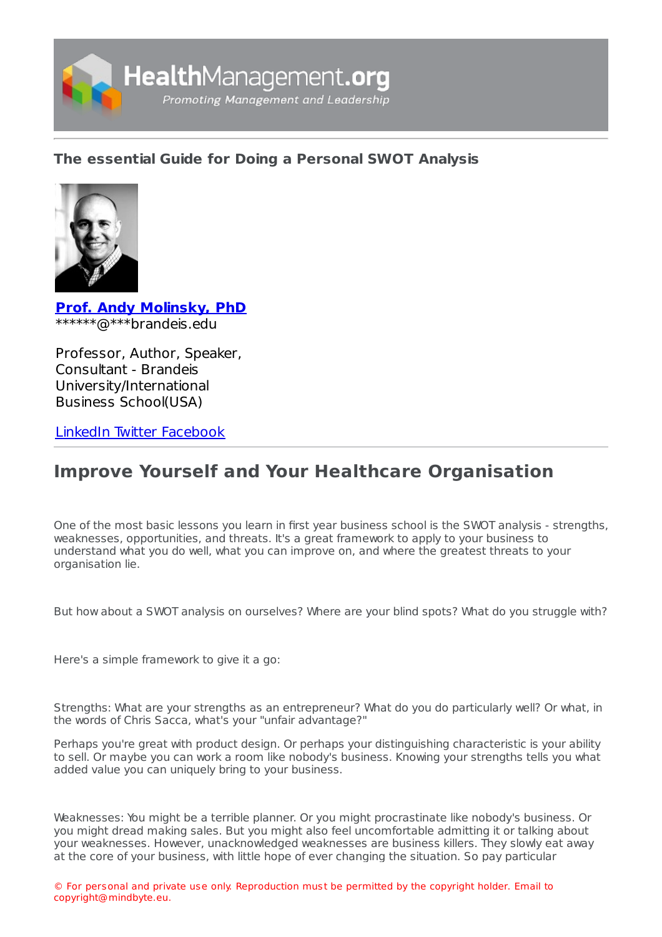

# **The [essential](https://healthmanagement.org/s/the-essential-guide-for-doing-a-personal-swot-analysis) Guide for Doing a Personal SWOT Analysis**



**Prof. Andy [Molinsky,](https://healthmanagement.org/viewProfile/100791/Andy_Molinsky) PhD** \*\*\*\*\*\*@\*\*\*brandeis.edu

Professor, Author, Speaker, Consultant - Brandeis University/International Business School(USA)

[LinkedIn](https://www.linkedin.com/in/andymolinsky/) [Twitter](https://twitter.com/andymolinsky?lang=en) [Facebook](https://www.facebook.com/MolinskyAndy/?ref=bookmarks)

# **Improve Yourself and Your Healthcare Organisation**

One of the most basic lessons you learn in first year business school is the SWOT analysis - strengths, weaknesses, opportunities, and threats. It's a great framework to apply to your business to understand what you do well, what you can improve on, and where the greatest threats to your organisation lie.

But how about a SWOT analysis on ourselves? Where are your blind spots? What do you struggle with?

Here's a simple framework to give it a go:

Strengths: What are your strengths as an entrepreneur? What do you do particularly well? Or what, in the words of Chris Sacca, what's your "unfair advantage?"

Perhaps you're great with product design. Or perhaps your distinguishing characteristic is your ability to sell. Or maybe you can work a room like nobody's business. Knowing your strengths tells you what added value you can uniquely bring to your business.

Weaknesses: You might be a terrible planner. Or you might procrastinate like nobody's business. Or you might dread making sales. But you might also feel uncomfortable admitting it or talking about your weaknesses. However, unacknowledged weaknesses are business killers. They slowly eat away at the core of your business, with little hope of ever changing the situation. So pay particular

© For personal and private use only. Reproduction must be permitted by the copyright holder. Email to copyright@mindbyte.eu.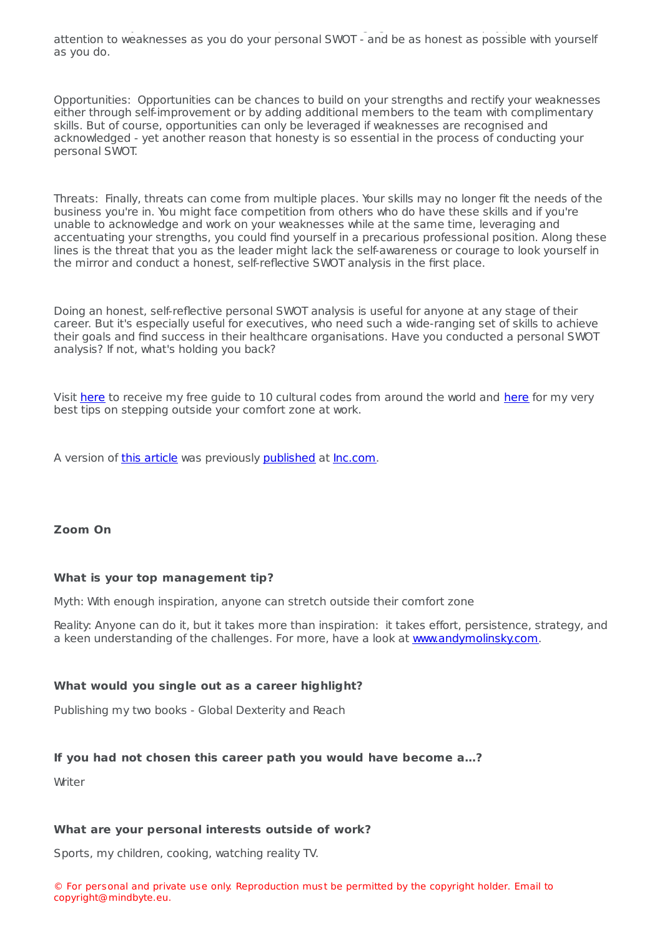at the core of your business, with little hope of ever changing the situation. So pay particular attention to weaknesses as you do your personal SWOT - and be as honest as possible with yourself as you do.

Opportunities: Opportunities can be chances to build on your strengths and rectify your weaknesses either through self-improvement or by adding additional members to the team with complimentary skills. But of course, opportunities can only be leveraged if weaknesses are recognised and acknowledged - yet another reason that honesty is so essential in the process of conducting your personal SWOT.

Threats: Finally, threats can come from multiple places. Your skills may no longer fit the needs of the business you're in. You might face competition from others who do have these skills and if you're unable to acknowledge and work on your weaknesses while at the same time, leveraging and accentuating your strengths, you could find yourself in a precarious professional position. Along these lines is the threat that you as the leader might lack the self-awareness or courage to look yourself in the mirror and conduct a honest, self-reflective SWOT analysis in the first place.

Doing an honest, self-reflective personal SWOT analysis is useful for anyone at any stage of their career. But it's especially useful for executives, who need such a wide-ranging set of skills to achieve their goals and find success in their healthcare organisations. Have you conducted a personal SWOT analysis? If not, what's holding you back?

Visit [here](http://www.andymolinsky.com/download-cheat-sheet-to-10-cultural-codes-from-around-the-world/) to receive my free guide to 10 cultural codes from around the world and [here](http://www.andymolinsky.com/comfort-zone/) for my very best tips on stepping outside your comfort zone at work.

A version of this [article](https://www.inc.com/andy-molinsky/how-to-do-a-swot-analysis-on-yourself-and-why-you-need-one.html) was previously [published](https://www.inc.com/andy-molinsky/how-to-do-a-swot-analysis-on-yourself-and-why-you-need-one.html) at [Inc.com.](http://inc.com/)

### **Zoom On**

#### **What is your top management tip?**

Myth: With enough inspiration, anyone can stretch outside their comfort zone

Reality: Anyone can do it, but it takes more than inspiration: it takes effort, persistence, strategy, and a keen understanding of the challenges. For more, have a look at [www.andymolinsky.com](http://www.andymolinsky.com/).

#### **What would you single out as a career highlight?**

Publishing my two books - Global Dexterity and Reach

#### **If you had not chosen this career path you would have become a…?**

Writer

#### **What are your personal interests outside of work?**

Sports, my children, cooking, watching reality TV.

© For personal and private use only. Reproduction must be permitted by the copyright holder. Email to copyright@mindbyte.eu.